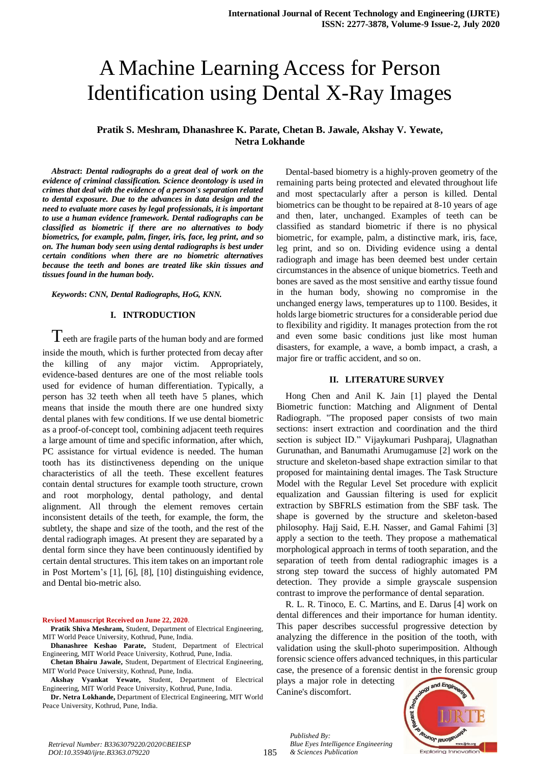# A Machine Learning Access for Person Identification using Dental X-Ray Images

# **Pratik S. Meshram, Dhanashree K. Parate, Chetan B. Jawale, Akshay V. Yewate, Netra Lokhande**

*Abstract***:** *Dental radiographs do a great deal of work on the evidence of criminal classification. Science deontology is used in crimes that deal with the evidence of a person's separation related to dental exposure. Due to the advances in data design and the need to evaluate more cases by legal professionals, it is important to use a human evidence framework. Dental radiographs can be classified as biometric if there are no alternatives to body biometrics, for example, palm, finger, iris, face, leg print, and so on. The human body seen using dental radiographs is best under certain conditions when there are no biometric alternatives because the teeth and bones are treated like skin tissues and tissues found in the human body.*

*Keywords***:** *CNN, Dental Radiographs, HoG, KNN.*

#### **I. INTRODUCTION**

 $T$ eeth are fragile parts of the human body and are formed inside the mouth, which is further protected from decay after the killing of any major victim. Appropriately, evidence-based dentures are one of the most reliable tools used for evidence of human differentiation. Typically, a person has 32 teeth when all teeth have 5 planes, which means that inside the mouth there are one hundred sixty dental planes with few conditions. If we use dental biometric as a proof-of-concept tool, combining adjacent teeth requires a large amount of time and specific information, after which, PC assistance for virtual evidence is needed. The human tooth has its distinctiveness depending on the unique characteristics of all the teeth. These excellent features contain dental structures for example tooth structure, crown and root morphology, dental pathology, and dental alignment. All through the element removes certain inconsistent details of the teeth, for example, the form, the subtlety, the shape and size of the tooth, and the rest of the dental radiograph images. At present they are separated by a dental form since they have been continuously identified by certain dental structures. This item takes on an important role in Post Mortem's [1], [6], [8], [10] distinguishing evidence, and Dental bio-metric also.

#### **Revised Manuscript Received on June 22, 2020**.

**Pratik Shiva Meshram,** Student, Department of Electrical Engineering, MIT World Peace University, Kothrud, Pune, India.

**Dhanashree Keshao Parate,** Student, Department of Electrical Engineering, MIT World Peace University, Kothrud, Pune, India.

**Chetan Bhairu Jawale,** Student, Department of Electrical Engineering, MIT World Peace University, Kothrud, Pune, India.

**Akshay Vyankat Yewate,** Student, Department of Electrical Engineering, MIT World Peace University, Kothrud, Pune, India.

**Dr. Netra Lokhande,** Department of Electrical Engineering, MIT World Peace University, Kothrud, Pune, India.

Dental-based biometry is a highly-proven geometry of the remaining parts being protected and elevated throughout life and most spectacularly after a person is killed. Dental biometrics can be thought to be repaired at 8-10 years of age and then, later, unchanged. Examples of teeth can be classified as standard biometric if there is no physical biometric, for example, palm, a distinctive mark, iris, face, leg print, and so on. Dividing evidence using a dental radiograph and image has been deemed best under certain circumstances in the absence of unique biometrics. Teeth and bones are saved as the most sensitive and earthy tissue found in the human body, showing no compromise in the unchanged energy laws, temperatures up to 1100. Besides, it holds large biometric structures for a considerable period due to flexibility and rigidity. It manages protection from the rot and even some basic conditions just like most human disasters, for example, a wave, a bomb impact, a crash, a major fire or traffic accident, and so on.

#### **II. LITERATURE SURVEY**

Hong Chen and Anil K. Jain [1] played the Dental Biometric function: Matching and Alignment of Dental Radiograph. "The proposed paper consists of two main sections: insert extraction and coordination and the third section is subject ID." Vijaykumari Pushparaj, Ulagnathan Gurunathan, and Banumathi Arumugamuse [2] work on the structure and skeleton-based shape extraction similar to that proposed for maintaining dental images. The Task Structure Model with the Regular Level Set procedure with explicit equalization and Gaussian filtering is used for explicit extraction by SBFRLS estimation from the SBF task. The shape is governed by the structure and skeleton-based philosophy. Hajj Said, E.H. Nasser, and Gamal Fahimi [3] apply a section to the teeth. They propose a mathematical morphological approach in terms of tooth separation, and the separation of teeth from dental radiographic images is a strong step toward the success of highly automated PM detection. They provide a simple grayscale suspension contrast to improve the performance of dental separation.

R. L. R. Tinoco, E. C. Martins, and E. Darus [4] work on dental differences and their importance for human identity. This paper describes successful progressive detection by analyzing the difference in the position of the tooth, with validation using the skull-photo superimposition. Although forensic science offers advanced techniques, in this particular case, the presence of a forensic dentist in the forensic group

plays a major role in detecting Canine's discomfort.

*Blue Eyes Intelligence Engineering* 

*Published By:*

*& Sciences Publication* 

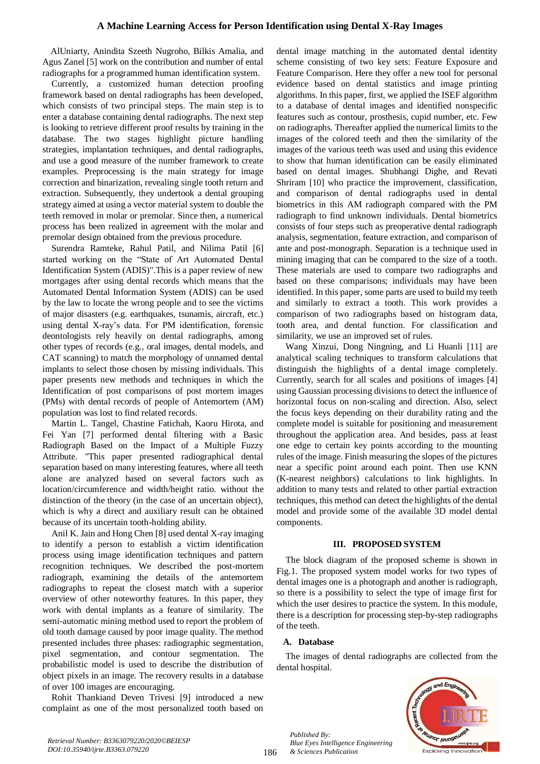AlUniarty, Anindita Szeeth Nugroho, Bilkis Amalia, and Agus Zanel [5] work on the contribution and number of ental radiographs for a programmed human identification system.

Currently, a customized human detection proofing framework based on dental radiographs has been developed, which consists of two principal steps. The main step is to enter a database containing dental radiographs. The next step is looking to retrieve different proof results by training in the database. The two stages highlight picture handling strategies, implantation techniques, and dental radiographs, and use a good measure of the number framework to create examples. Preprocessing is the main strategy for image correction and binarization, revealing single tooth return and extraction. Subsequently, they undertook a dental grouping strategy aimed at using a vector material system to double the teeth removed in molar or premolar. Since then, a numerical process has been realized in agreement with the molar and premolar design obtained from the previous procedure.

Surendra Ramteke, Rahul Patil, and Nilima Patil [6] started working on the "State of Art Automated Dental Identification System (ADIS)".This is a paper review of new mortgages after using dental records which means that the Automated Dental Information System (ADIS) can be used by the law to locate the wrong people and to see the victims of major disasters (e.g. earthquakes, tsunamis, aircraft, etc.) using dental X-ray's data. For PM identification, forensic deontologists rely heavily on dental radiographs, among other types of records (e.g., oral images, dental models, and CAT scanning) to match the morphology of unnamed dental implants to select those chosen by missing individuals. This paper presents new methods and techniques in which the Identification of post comparisons of post mortem images (PMs) with dental records of people of Antemortem (AM) population was lost to find related records.

Martin L. Tangel, Chastine Fatichah, Kaoru Hirota, and Fei Yan [7] performed dental filtering with a Basic Radiograph Based on the Impact of a Multiple Fuzzy Attribute. "This paper presented radiographical dental separation based on many interesting features, where all teeth alone are analyzed based on several factors such as location/circumference and width/height ratio. without the distinction of the theory (in the case of an uncertain object), which is why a direct and auxiliary result can be obtained because of its uncertain tooth-holding ability.

Anil K. Jain and Hong Chen [8] used dental X-ray imaging to identify a person to establish a victim identification process using image identification techniques and pattern recognition techniques. We described the post-mortem radiograph, examining the details of the antemortem radiographs to repeat the closest match with a superior overview of other noteworthy features. In this paper, they work with dental implants as a feature of similarity. The semi-automatic mining method used to report the problem of old tooth damage caused by poor image quality. The method presented includes three phases: radiographic segmentation, pixel segmentation, and contour segmentation. The probabilistic model is used to describe the distribution of object pixels in an image. The recovery results in a database of over 100 images are encouraging.

Rohit Thankiand Deven Trivesi [9] introduced a new complaint as one of the most personalized tooth based on

dental image matching in the automated dental identity scheme consisting of two key sets: Feature Exposure and Feature Comparison. Here they offer a new tool for personal evidence based on dental statistics and image printing algorithms. In this paper, first, we applied the ISEF algorithm to a database of dental images and identified nonspecific features such as contour, prosthesis, cupid number, etc. Few on radiographs. Thereafter applied the numerical limits to the images of the colored teeth and then the similarity of the images of the various teeth was used and using this evidence to show that human identification can be easily eliminated based on dental images. Shubhangi Dighe, and Revati Shriram [10] who practice the improvement, classification, and comparison of dental radiographs used in dental biometrics in this AM radiograph compared with the PM radiograph to find unknown individuals. Dental biometrics consists of four steps such as preoperative dental radiograph analysis, segmentation, feature extraction, and comparison of ante and post-monograph. Separation is a technique used in mining imaging that can be compared to the size of a tooth. These materials are used to compare two radiographs and based on these comparisons; individuals may have been identified. In this paper, some parts are used to build my teeth and similarly to extract a tooth. This work provides a comparison of two radiographs based on histogram data, tooth area, and dental function. For classification and similarity, we use an improved set of rules.

Wang Xinzui, Dong Ningning, and Li Huanli [11] are analytical scaling techniques to transform calculations that distinguish the highlights of a dental image completely. Currently, search for all scales and positions of images [4] using Gaussian processing divisions to detect the influence of horizontal focus on non-scaling and direction. Also, select the focus keys depending on their durability rating and the complete model is suitable for positioning and measurement throughout the application area. And besides, pass at least one edge to certain key points according to the mounting rules of the image. Finish measuring the slopes of the pictures near a specific point around each point. Then use KNN (K-nearest neighbors) calculations to link highlights. In addition to many tests and related to other partial extraction techniques, this method can detect the highlights of the dental model and provide some of the available 3D model dental components.

# **III. PROPOSED SYSTEM**

The block diagram of the proposed scheme is shown in Fig.1. The proposed system model works for two types of dental images one is a photograph and another is radiograph, so there is a possibility to select the type of image first for which the user desires to practice the system. In this module, there is a description for processing step-by-step radiographs of the teeth.

# **A. Database**

The images of dental radiographs are collected from the dental hospital.



*Published By: Blue Eyes Intelligence Engineering & Sciences Publication*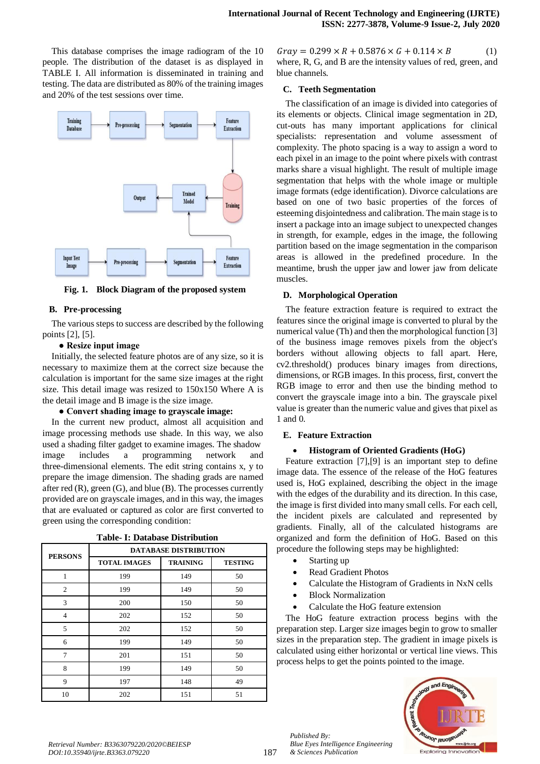This database comprises the image radiogram of the 10 people. The distribution of the dataset is as displayed in TABLE I. All information is disseminated in training and testing. The data are distributed as 80% of the training images and 20% of the test sessions over time.



**Fig. 1. Block Diagram of the proposed system**

# **B. Pre-processing**

The various steps to success are described by the following points [2], [5].

# **● Resize input image**

Initially, the selected feature photos are of any size, so it is necessary to maximize them at the correct size because the calculation is important for the same size images at the right size. This detail image was resized to 150x150 Where A is the detail image and B image is the size image.

# **● Convert shading image to grayscale image:**

In the current new product, almost all acquisition and image processing methods use shade. In this way, we also used a shading filter gadget to examine images. The shadow image includes a programming network and three-dimensional elements. The edit string contains x, y to prepare the image dimension. The shading grads are named after red (R), green (G), and blue (B). The processes currently provided are on grayscale images, and in this way, the images that are evaluated or captured as color are first converted to green using the corresponding condition:

| <b>PERSONS</b> | <b>DATABASE DISTRIBUTION</b> |                 |                |  |
|----------------|------------------------------|-----------------|----------------|--|
|                | <b>TOTAL IMAGES</b>          | <b>TRAINING</b> | <b>TESTING</b> |  |
|                | 199                          | 149             | 50             |  |
| 2              | 199                          | 149             | 50             |  |
| 3              | 200                          | 150             | 50             |  |
| 4              | 202                          | 152             | 50             |  |
| 5              | 202                          | 152             | 50             |  |
| 6              | 199                          | 149             | 50             |  |
| 7              | 201                          | 151             | 50             |  |
| 8              | 199                          | 149             | 50             |  |
| 9              | 197                          | 148             | 49             |  |
| 10             | 202                          | 151             | 51             |  |

**Table- I: Database Distribution**

 $Gray = 0.299 \times R + 0.5876 \times G + 0.114 \times B$  (1) where, R, G, and B are the intensity values of red, green, and blue channels.

#### **C. Teeth Segmentation**

The classification of an image is divided into categories of its elements or objects. Clinical image segmentation in 2D, cut-outs has many important applications for clinical specialists: representation and volume assessment of complexity. The photo spacing is a way to assign a word to each pixel in an image to the point where pixels with contrast marks share a visual highlight. The result of multiple image segmentation that helps with the whole image or multiple image formats (edge identification). Divorce calculations are based on one of two basic properties of the forces of esteeming disjointedness and calibration. The main stage is to insert a package into an image subject to unexpected changes in strength, for example, edges in the image, the following partition based on the image segmentation in the comparison areas is allowed in the predefined procedure. In the meantime, brush the upper jaw and lower jaw from delicate muscles.

# **D. Morphological Operation**

The feature extraction feature is required to extract the features since the original image is converted to plural by the numerical value (Th) and then the morphological function [3] of the business image removes pixels from the object's borders without allowing objects to fall apart. Here, cv2.threshold() produces binary images from directions, dimensions, or RGB images. In this process, first, convert the RGB image to error and then use the binding method to convert the grayscale image into a bin. The grayscale pixel value is greater than the numeric value and gives that pixel as 1 and 0.

# **E. Feature Extraction**

# **Histogram of Oriented Gradients (HoG)**

Feature extraction [7],[9] is an important step to define image data. The essence of the release of the HoG features used is, HoG explained, describing the object in the image with the edges of the durability and its direction. In this case, the image is first divided into many small cells. For each cell, the incident pixels are calculated and represented by gradients. Finally, all of the calculated histograms are organized and form the definition of HoG. Based on this procedure the following steps may be highlighted:

- Starting up
- Read Gradient Photos
- Calculate the Histogram of Gradients in NxN cells
- Block Normalization

*Blue Eyes Intelligence Engineering* 

Calculate the HoG feature extension

The HoG feature extraction process begins with the preparation step. Larger size images begin to grow to smaller sizes in the preparation step. The gradient in image pixels is calculated using either horizontal or vertical line views. This process helps to get the points pointed to the image.



*Published By:*

*& Sciences Publication*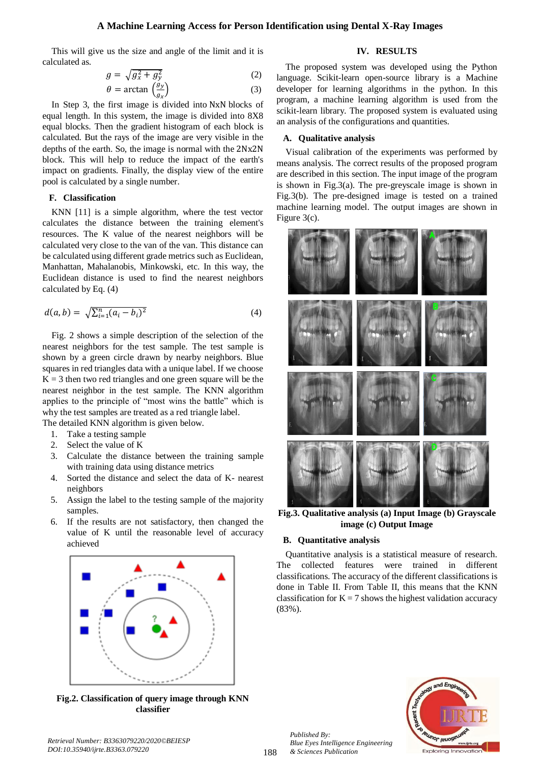# **A Machine Learning Access for Person Identification using Dental X-Ray Images**

This will give us the size and angle of the limit and it is calculated as.

$$
g = \sqrt{g_x^2 + g_y^2}
$$
 (2)  
\n
$$
\theta = \arctan\left(\frac{g_y}{g}\right)
$$
 (3)

$$
\theta = \arctan\left(\frac{g_y}{g_x}\right) \tag{3}
$$

In Step 3, the first image is divided into NxN blocks of equal length. In this system, the image is divided into 8X8 equal blocks. Then the gradient histogram of each block is calculated. But the rays of the image are very visible in the depths of the earth. So, the image is normal with the 2Nx2N block. This will help to reduce the impact of the earth's impact on gradients. Finally, the display view of the entire pool is calculated by a single number.

# **F. Classification**

KNN [11] is a simple algorithm, where the test vector calculates the distance between the training element's resources. The K value of the nearest neighbors will be calculated very close to the van of the van. This distance can be calculated using different grade metrics such as Euclidean, Manhattan, Mahalanobis, Minkowski, etc. In this way, the Euclidean distance is used to find the nearest neighbors calculated by Eq. (4)

$$
d(a,b) = \sqrt{\sum_{i=1}^{n} (a_i - b_i)^2}
$$
 (4)

Fig. 2 shows a simple description of the selection of the nearest neighbors for the test sample. The test sample is shown by a green circle drawn by nearby neighbors. Blue squares in red triangles data with a unique label. If we choose  $K = 3$  then two red triangles and one green square will be the nearest neighbor in the test sample. The KNN algorithm applies to the principle of "most wins the battle" which is why the test samples are treated as a red triangle label. The detailed KNN algorithm is given below.

- 1. Take a testing sample
- 2. Select the value of K
- 3. Calculate the distance between the training sample with training data using distance metrics
- 4. Sorted the distance and select the data of K- nearest neighbors
- 5. Assign the label to the testing sample of the majority samples.
- 6. If the results are not satisfactory, then changed the value of K until the reasonable level of accuracy achieved



**Fig.2. Classification of query image through KNN classifier**

# **IV. RESULTS**

The proposed system was developed using the Python language. Scikit-learn open-source library is a Machine developer for learning algorithms in the python. In this program, a machine learning algorithm is used from the scikit-learn library. The proposed system is evaluated using an analysis of the configurations and quantities.

#### **A. Qualitative analysis**

Visual calibration of the experiments was performed by means analysis. The correct results of the proposed program are described in this section. The input image of the program is shown in Fig.3(a). The pre-greyscale image is shown in Fig.3(b). The pre-designed image is tested on a trained machine learning model. The output images are shown in Figure 3(c).



**Fig.3. Qualitative analysis (a) Input Image (b) Grayscale image (c) Output Image**

# **B. Quantitative analysis**

Quantitative analysis is a statistical measure of research. The collected features were trained in different classifications. The accuracy of the different classifications is done in Table II. From Table II, this means that the KNN classification for  $K = 7$  shows the highest validation accuracy (83%).



*Published By: Blue Eyes Intelligence Engineering & Sciences Publication*